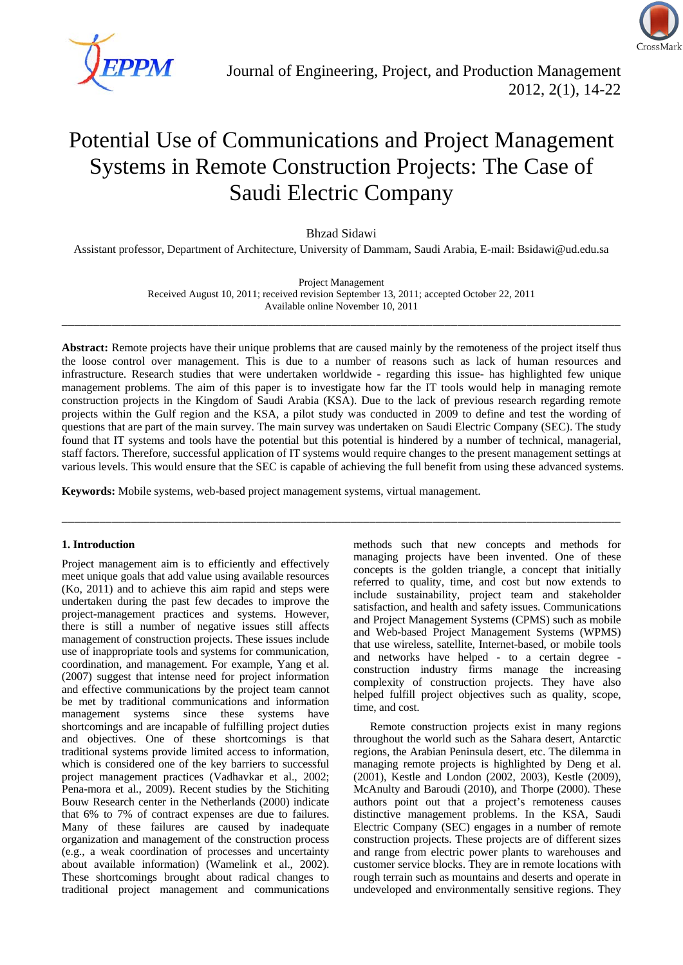

# Potential Use of Communications and Project Management Systems in Remote Construction Projects: The Case of Saudi Electric Company

Bhzad Sidawi

Assistant professor, Department of Architecture, University of Dammam, Saudi Arabia, E-mail: Bsidawi@ud.edu.sa

Project Management Received August 10, 2011; received revision September 13, 2011; accepted October 22, 2011 Available online November 10, 2011

\_\_\_\_\_\_\_\_\_\_\_\_\_\_\_\_\_\_\_\_\_\_\_\_\_\_\_\_\_\_\_\_\_\_\_\_\_\_\_\_\_\_\_\_\_\_\_\_\_\_\_\_\_\_\_\_\_\_\_\_\_\_\_\_\_\_\_\_\_\_\_\_\_\_\_\_\_\_\_\_\_\_\_\_\_\_\_\_\_

**Abstract:** Remote projects have their unique problems that are caused mainly by the remoteness of the project itself thus the loose control over management. This is due to a number of reasons such as lack of human resources and infrastructure. Research studies that were undertaken worldwide - regarding this issue- has highlighted few unique management problems. The aim of this paper is to investigate how far the IT tools would help in managing remote construction projects in the Kingdom of Saudi Arabia (KSA). Due to the lack of previous research regarding remote projects within the Gulf region and the KSA, a pilot study was conducted in 2009 to define and test the wording of questions that are part of the main survey. The main survey was undertaken on Saudi Electric Company (SEC). The study found that IT systems and tools have the potential but this potential is hindered by a number of technical, managerial, staff factors. Therefore, successful application of IT systems would require changes to the present management settings at various levels. This would ensure that the SEC is capable of achieving the full benefit from using these advanced systems.

\_\_\_\_\_\_\_\_\_\_\_\_\_\_\_\_\_\_\_\_\_\_\_\_\_\_\_\_\_\_\_\_\_\_\_\_\_\_\_\_\_\_\_\_\_\_\_\_\_\_\_\_\_\_\_\_\_\_\_\_\_\_\_\_\_\_\_\_\_\_\_\_\_\_\_\_\_\_\_\_\_\_\_\_\_\_\_\_\_

**Keywords:** Mobile systems, web-based project management systems, virtual management.

#### **1. Introduction**

Project management aim is to efficiently and effectively meet unique goals that add value using available resources (Ko, 2011) and to achieve this aim rapid and steps were undertaken during the past few decades to improve the project-management practices and systems. However, there is still a number of negative issues still affects management of construction projects. These issues include use of inappropriate tools and systems for communication, coordination, and management. For example, Yang et al. (2007) suggest that intense need for project information and effective communications by the project team cannot be met by traditional communications and information management systems since these systems have shortcomings and are incapable of fulfilling project duties and objectives. One of these shortcomings is that traditional systems provide limited access to information, which is considered one of the key barriers to successful project management practices (Vadhavkar et al., 2002; Pena-mora et al., 2009). Recent studies by the Stichiting Bouw Research center in the Netherlands (2000) indicate that 6% to 7% of contract expenses are due to failures. Many of these failures are caused by inadequate organization and management of the construction process (e.g., a weak coordination of processes and uncertainty about available information) (Wamelink et al., 2002). These shortcomings brought about radical changes to traditional project management and communications

methods such that new concepts and methods for managing projects have been invented. One of these concepts is the golden triangle, a concept that initially referred to quality, time, and cost but now extends to include sustainability, project team and stakeholder satisfaction, and health and safety issues. Communications and Project Management Systems (CPMS) such as mobile and Web-based Project Management Systems (WPMS) that use wireless, satellite, Internet-based, or mobile tools and networks have helped - to a certain degree construction industry firms manage the increasing complexity of construction projects. They have also helped fulfill project objectives such as quality, scope, time, and cost.

Remote construction projects exist in many regions throughout the world such as the Sahara desert, Antarctic regions, the Arabian Peninsula desert, etc. The dilemma in managing remote projects is highlighted by Deng et al. (2001), Kestle and London (2002, 2003), Kestle (2009), McAnulty and Baroudi (2010), and Thorpe (2000). These authors point out that a project's remoteness causes distinctive management problems. In the KSA, Saudi Electric Company (SEC) engages in a number of remote construction projects. These projects are of different sizes and range from electric power plants to warehouses and customer service blocks. They are in remote locations with rough terrain such as mountains and deserts and operate in undeveloped and environmentally sensitive regions. They

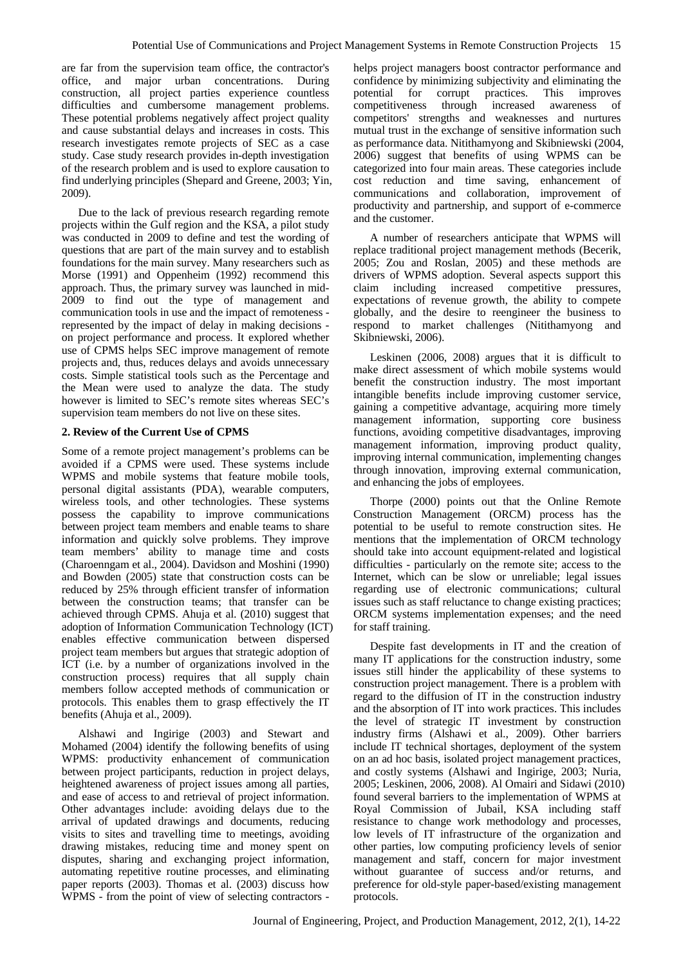are far from the supervision team office, the contractor's office, and major urban concentrations. During construction, all project parties experience countless difficulties and cumbersome management problems. These potential problems negatively affect project quality and cause substantial delays and increases in costs. This research investigates remote projects of SEC as a case study. Case study research provides in-depth investigation of the research problem and is used to explore causation to find underlying principles (Shepard and Greene, 2003; Yin, 2009).

Due to the lack of previous research regarding remote projects within the Gulf region and the KSA, a pilot study was conducted in 2009 to define and test the wording of questions that are part of the main survey and to establish foundations for the main survey. Many researchers such as Morse (1991) and Oppenheim (1992) recommend this approach. Thus, the primary survey was launched in mid-2009 to find out the type of management and communication tools in use and the impact of remoteness represented by the impact of delay in making decisions on project performance and process. It explored whether use of CPMS helps SEC improve management of remote projects and, thus, reduces delays and avoids unnecessary costs. Simple statistical tools such as the Percentage and the Mean were used to analyze the data. The study however is limited to SEC's remote sites whereas SEC's supervision team members do not live on these sites.

#### **2. Review of the Current Use of CPMS**

Some of a remote project management's problems can be avoided if a CPMS were used. These systems include WPMS and mobile systems that feature mobile tools, personal digital assistants (PDA), wearable computers, wireless tools, and other technologies. These systems possess the capability to improve communications between project team members and enable teams to share information and quickly solve problems. They improve team members' ability to manage time and costs (Charoenngam et al., 2004). Davidson and Moshini (1990) and Bowden (2005) state that construction costs can be reduced by 25% through efficient transfer of information between the construction teams; that transfer can be achieved through CPMS. Ahuja et al. (2010) suggest that adoption of Information Communication Technology (ICT) enables effective communication between dispersed project team members but argues that strategic adoption of ICT (i.e. by a number of organizations involved in the construction process) requires that all supply chain members follow accepted methods of communication or protocols. This enables them to grasp effectively the IT benefits (Ahuja et al., 2009).

Alshawi and Ingirige (2003) and Stewart and Mohamed (2004) identify the following benefits of using WPMS: productivity enhancement of communication between project participants, reduction in project delays, heightened awareness of project issues among all parties, and ease of access to and retrieval of project information. Other advantages include: avoiding delays due to the arrival of updated drawings and documents, reducing visits to sites and travelling time to meetings, avoiding drawing mistakes, reducing time and money spent on disputes, sharing and exchanging project information, automating repetitive routine processes, and eliminating paper reports (2003). Thomas et al. (2003) discuss how WPMS - from the point of view of selecting contractors -

helps project managers boost contractor performance and confidence by minimizing subjectivity and eliminating the potential for corrupt practices. This improves competitiveness through increased awareness competitors' strengths and weaknesses and nurtures mutual trust in the exchange of sensitive information such as performance data. Nitithamyong and Skibniewski (2004, 2006) suggest that benefits of using WPMS can be categorized into four main areas. These categories include cost reduction and time saving, enhancement of communications and collaboration, improvement of productivity and partnership, and support of e-commerce and the customer.

A number of researchers anticipate that WPMS will replace traditional project management methods (Becerik, 2005; Zou and Roslan, 2005) and these methods are drivers of WPMS adoption. Several aspects support this claim including increased competitive pressures, expectations of revenue growth, the ability to compete globally, and the desire to reengineer the business to respond to market challenges (Nitithamyong and Skibniewski, 2006).

Leskinen (2006, 2008) argues that it is difficult to make direct assessment of which mobile systems would benefit the construction industry. The most important intangible benefits include improving customer service, gaining a competitive advantage, acquiring more timely management information, supporting core business functions, avoiding competitive disadvantages, improving management information, improving product quality, improving internal communication, implementing changes through innovation, improving external communication, and enhancing the jobs of employees.

Thorpe (2000) points out that the Online Remote Construction Management (ORCM) process has the potential to be useful to remote construction sites. He mentions that the implementation of ORCM technology should take into account equipment-related and logistical difficulties - particularly on the remote site; access to the Internet, which can be slow or unreliable; legal issues regarding use of electronic communications; cultural issues such as staff reluctance to change existing practices; ORCM systems implementation expenses; and the need for staff training.

Despite fast developments in IT and the creation of many IT applications for the construction industry, some issues still hinder the applicability of these systems to construction project management. There is a problem with regard to the diffusion of IT in the construction industry and the absorption of IT into work practices. This includes the level of strategic IT investment by construction industry firms (Alshawi et al., 2009). Other barriers include IT technical shortages, deployment of the system on an ad hoc basis, isolated project management practices, and costly systems (Alshawi and Ingirige, 2003; Nuria, 2005; Leskinen, 2006, 2008). Al Omairi and Sidawi (2010) found several barriers to the implementation of WPMS at Royal Commission of Jubail, KSA including staff resistance to change work methodology and processes, low levels of IT infrastructure of the organization and other parties, low computing proficiency levels of senior management and staff, concern for major investment without guarantee of success and/or returns, and preference for old-style paper-based/existing management protocols.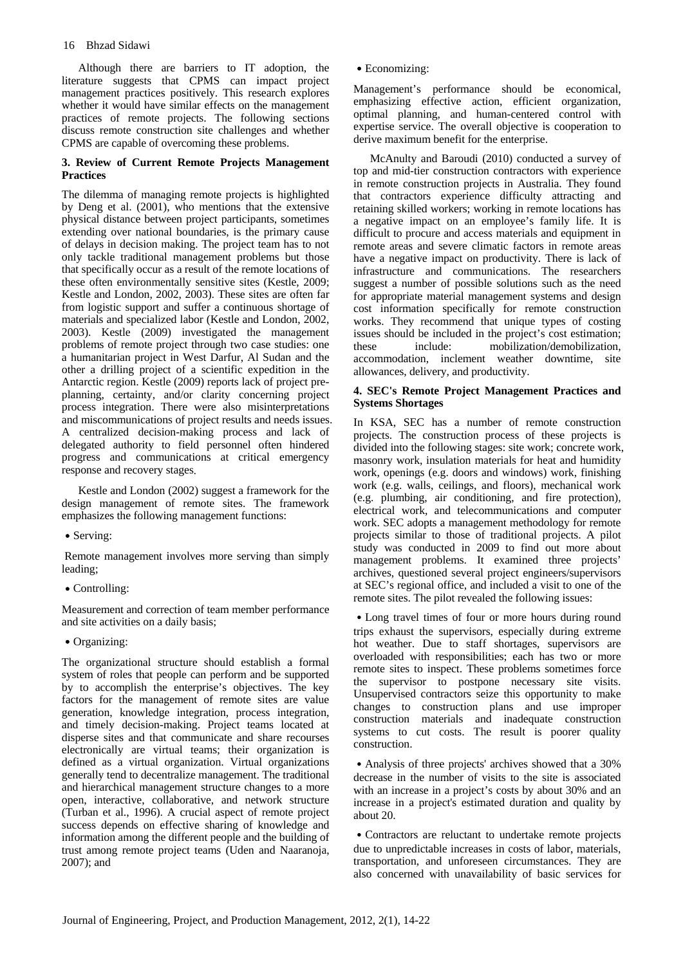Although there are barriers to IT adoption, the literature suggests that CPMS can impact project management practices positively. This research explores whether it would have similar effects on the management practices of remote projects. The following sections discuss remote construction site challenges and whether CPMS are capable of overcoming these problems.

#### **3. Review of Current Remote Projects Management Practices**

The dilemma of managing remote projects is highlighted by Deng et al. (2001), who mentions that the extensive physical distance between project participants, sometimes extending over national boundaries, is the primary cause of delays in decision making. The project team has to not only tackle traditional management problems but those that specifically occur as a result of the remote locations of these often environmentally sensitive sites (Kestle, 2009; Kestle and London, 2002, 2003). These sites are often far from logistic support and suffer a continuous shortage of materials and specialized labor (Kestle and London, 2002, 2003). Kestle (2009) investigated the management problems of remote project through two case studies: one a humanitarian project in West Darfur, Al Sudan and the other a drilling project of a scientific expedition in the Antarctic region. Kestle (2009) reports lack of project preplanning, certainty, and/or clarity concerning project process integration. There were also misinterpretations and miscommunications of project results and needs issues. A centralized decision-making process and lack of delegated authority to field personnel often hindered progress and communications at critical emergency response and recovery stages.

Kestle and London (2002) suggest a framework for the design management of remote sites. The framework emphasizes the following management functions:

#### • Serving:

 Remote management involves more serving than simply leading;

․Controlling:

Measurement and correction of team member performance and site activities on a daily basis;

#### ․Organizing:

The organizational structure should establish a formal system of roles that people can perform and be supported by to accomplish the enterprise's objectives. The key factors for the management of remote sites are value generation, knowledge integration, process integration, and timely decision-making. Project teams located at disperse sites and that communicate and share recourses electronically are virtual teams; their organization is defined as a virtual organization. Virtual organizations generally tend to decentralize management. The traditional and hierarchical management structure changes to a more open, interactive, collaborative, and network structure (Turban et al., 1996). A crucial aspect of remote project success depends on effective sharing of knowledge and information among the different people and the building of trust among remote project teams (Uden and Naaranoja, 2007); and

․Economizing:

Management's performance should be economical, emphasizing effective action, efficient organization, optimal planning, and human-centered control with expertise service. The overall objective is cooperation to derive maximum benefit for the enterprise.

McAnulty and Baroudi (2010) conducted a survey of top and mid-tier construction contractors with experience in remote construction projects in Australia. They found that contractors experience difficulty attracting and retaining skilled workers; working in remote locations has a negative impact on an employee's family life. It is difficult to procure and access materials and equipment in remote areas and severe climatic factors in remote areas have a negative impact on productivity. There is lack of infrastructure and communications. The researchers suggest a number of possible solutions such as the need for appropriate material management systems and design cost information specifically for remote construction works. They recommend that unique types of costing issues should be included in the project's cost estimation; these include: mobilization/demobilization, accommodation, inclement weather downtime, site allowances, delivery, and productivity.

#### **4. SEC's Remote Project Management Practices and Systems Shortages**

In KSA, SEC has a number of remote construction projects. The construction process of these projects is divided into the following stages: site work; concrete work, masonry work, insulation materials for heat and humidity work, openings (e.g. doors and windows) work, finishing work (e.g. walls, ceilings, and floors), mechanical work (e.g. plumbing, air conditioning, and fire protection), electrical work, and telecommunications and computer work. SEC adopts a management methodology for remote projects similar to those of traditional projects. A pilot study was conducted in 2009 to find out more about management problems. It examined three projects' archives, questioned several project engineers/supervisors at SEC's regional office, and included a visit to one of the remote sites. The pilot revealed the following issues:

• Long travel times of four or more hours during round trips exhaust the supervisors, especially during extreme hot weather. Due to staff shortages, supervisors are overloaded with responsibilities; each has two or more remote sites to inspect. These problems sometimes force the supervisor to postpone necessary site visits. Unsupervised contractors seize this opportunity to make changes to construction plans and use improper construction materials and inadequate construction systems to cut costs. The result is poorer quality construction.

• Analysis of three projects' archives showed that a 30% decrease in the number of visits to the site is associated with an increase in a project's costs by about 30% and an increase in a project's estimated duration and quality by about 20.

• Contractors are reluctant to undertake remote projects due to unpredictable increases in costs of labor, materials, transportation, and unforeseen circumstances. They are also concerned with unavailability of basic services for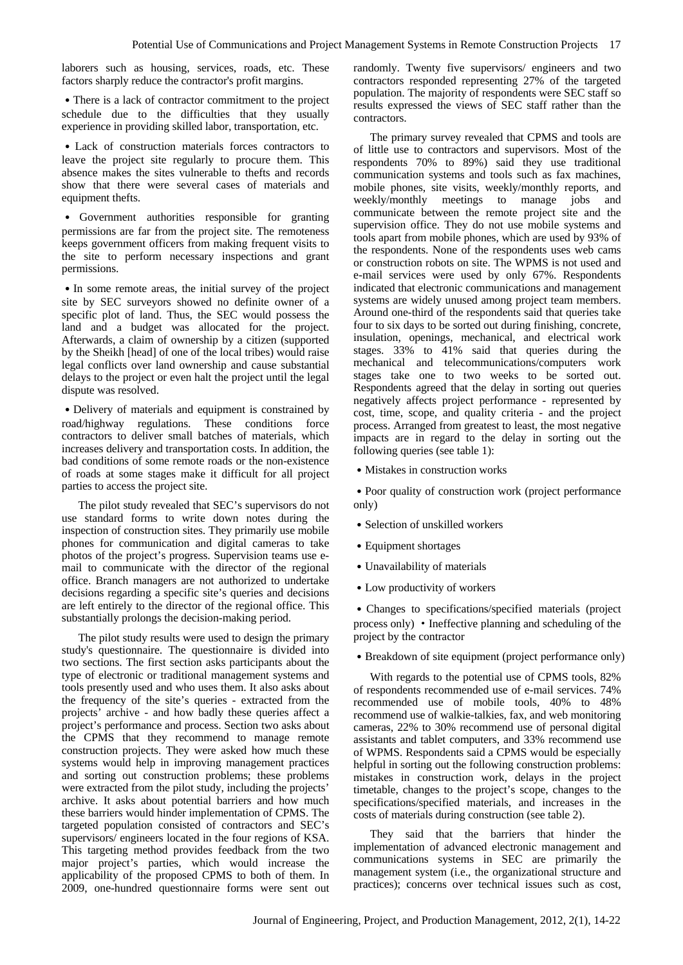laborers such as housing, services, roads, etc. These factors sharply reduce the contractor's profit margins.

• There is a lack of contractor commitment to the project schedule due to the difficulties that they usually experience in providing skilled labor, transportation, etc.

․Lack of construction materials forces contractors to leave the project site regularly to procure them. This absence makes the sites vulnerable to thefts and records show that there were several cases of materials and equipment thefts.

․ Government authorities responsible for granting permissions are far from the project site. The remoteness keeps government officers from making frequent visits to the site to perform necessary inspections and grant permissions.

• In some remote areas, the initial survey of the project site by SEC surveyors showed no definite owner of a specific plot of land. Thus, the SEC would possess the land and a budget was allocated for the project. Afterwards, a claim of ownership by a citizen (supported by the Sheikh [head] of one of the local tribes) would raise legal conflicts over land ownership and cause substantial delays to the project or even halt the project until the legal dispute was resolved.

• Delivery of materials and equipment is constrained by road/highway regulations. These conditions force contractors to deliver small batches of materials, which increases delivery and transportation costs. In addition, the bad conditions of some remote roads or the non-existence of roads at some stages make it difficult for all project parties to access the project site.

The pilot study revealed that SEC's supervisors do not use standard forms to write down notes during the inspection of construction sites. They primarily use mobile phones for communication and digital cameras to take photos of the project's progress. Supervision teams use email to communicate with the director of the regional office. Branch managers are not authorized to undertake decisions regarding a specific site's queries and decisions are left entirely to the director of the regional office. This substantially prolongs the decision-making period.

The pilot study results were used to design the primary study's questionnaire. The questionnaire is divided into two sections. The first section asks participants about the type of electronic or traditional management systems and tools presently used and who uses them. It also asks about the frequency of the site's queries - extracted from the projects' archive - and how badly these queries affect a project's performance and process. Section two asks about the CPMS that they recommend to manage remote construction projects. They were asked how much these systems would help in improving management practices and sorting out construction problems; these problems were extracted from the pilot study, including the projects' archive. It asks about potential barriers and how much these barriers would hinder implementation of CPMS. The targeted population consisted of contractors and SEC's supervisors/ engineers located in the four regions of KSA. This targeting method provides feedback from the two major project's parties, which would increase the applicability of the proposed CPMS to both of them. In 2009, one-hundred questionnaire forms were sent out

randomly. Twenty five supervisors/ engineers and two contractors responded representing 27% of the targeted population. The majority of respondents were SEC staff so results expressed the views of SEC staff rather than the contractors.

The primary survey revealed that CPMS and tools are of little use to contractors and supervisors. Most of the respondents 70% to 89%) said they use traditional communication systems and tools such as fax machines, mobile phones, site visits, weekly/monthly reports, and weekly/monthly meetings to manage jobs and communicate between the remote project site and the supervision office. They do not use mobile systems and tools apart from mobile phones, which are used by 93% of the respondents. None of the respondents uses web cams or construction robots on site. The WPMS is not used and e-mail services were used by only 67%. Respondents indicated that electronic communications and management systems are widely unused among project team members. Around one-third of the respondents said that queries take four to six days to be sorted out during finishing, concrete, insulation, openings, mechanical, and electrical work stages. 33% to 41% said that queries during the mechanical and telecommunications/computers work stages take one to two weeks to be sorted out. Respondents agreed that the delay in sorting out queries negatively affects project performance - represented by cost, time, scope, and quality criteria - and the project process. Arranged from greatest to least, the most negative impacts are in regard to the delay in sorting out the following queries (see table 1):

• Mistakes in construction works

• Poor quality of construction work (project performance only)

- Selection of unskilled workers
- Equipment shortages
- Unavailability of materials
- Low productivity of workers

• Changes to specifications/specified materials (project process only) ·Ineffective planning and scheduling of the project by the contractor

• Breakdown of site equipment (project performance only)

With regards to the potential use of CPMS tools, 82% of respondents recommended use of e-mail services. 74% recommended use of mobile tools, 40% to 48% recommend use of walkie-talkies, fax, and web monitoring cameras, 22% to 30% recommend use of personal digital assistants and tablet computers, and 33% recommend use of WPMS. Respondents said a CPMS would be especially helpful in sorting out the following construction problems: mistakes in construction work, delays in the project timetable, changes to the project's scope, changes to the specifications/specified materials, and increases in the costs of materials during construction (see table 2).

They said that the barriers that hinder the implementation of advanced electronic management and communications systems in SEC are primarily the management system (i.e., the organizational structure and practices); concerns over technical issues such as cost,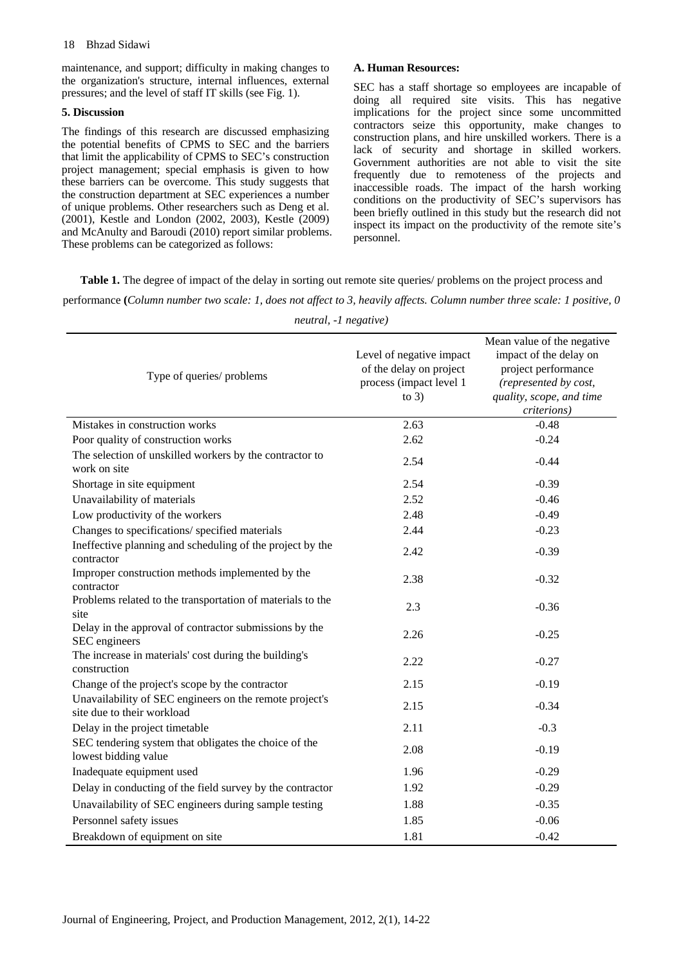#### 18 Bhzad Sidawi

maintenance, and support; difficulty in making changes to the organization's structure, internal influences, external pressures; and the level of staff IT skills (see Fig. 1).

#### **5. Discussion**

The findings of this research are discussed emphasizing the potential benefits of CPMS to SEC and the barriers that limit the applicability of CPMS to SEC's construction project management; special emphasis is given to how these barriers can be overcome. This study suggests that the construction department at SEC experiences a number of unique problems. Other researchers such as Deng et al. (2001), Kestle and London (2002, 2003), Kestle (2009) and McAnulty and Baroudi (2010) report similar problems. These problems can be categorized as follows:

#### **A. Human Resources:**

SEC has a staff shortage so employees are incapable of doing all required site visits. This has negative implications for the project since some uncommitted contractors seize this opportunity, make changes to construction plans, and hire unskilled workers. There is a lack of security and shortage in skilled workers. Government authorities are not able to visit the site frequently due to remoteness of the projects and inaccessible roads. The impact of the harsh working conditions on the productivity of SEC's supervisors has been briefly outlined in this study but the research did not inspect its impact on the productivity of the remote site's personnel.

**Table 1.** The degree of impact of the delay in sorting out remote site queries/ problems on the project process and

performance **(***Column number two scale: 1, does not affect to 3, heavily affects. Column number three scale: 1 positive, 0* 

| Type of queries/ problems                                                             | Level of negative impact<br>of the delay on project<br>process (impact level 1<br>to $3)$ | Mean value of the negative<br>impact of the delay on<br>project performance<br>(represented by cost,<br>quality, scope, and time<br>criterions) |  |  |
|---------------------------------------------------------------------------------------|-------------------------------------------------------------------------------------------|-------------------------------------------------------------------------------------------------------------------------------------------------|--|--|
| Mistakes in construction works                                                        | 2.63                                                                                      | $-0.48$                                                                                                                                         |  |  |
| Poor quality of construction works                                                    | 2.62                                                                                      | $-0.24$                                                                                                                                         |  |  |
| The selection of unskilled workers by the contractor to<br>work on site               | 2.54                                                                                      | $-0.44$                                                                                                                                         |  |  |
| Shortage in site equipment                                                            | 2.54                                                                                      | $-0.39$                                                                                                                                         |  |  |
| Unavailability of materials                                                           | 2.52                                                                                      | $-0.46$                                                                                                                                         |  |  |
| Low productivity of the workers                                                       | 2.48                                                                                      | $-0.49$                                                                                                                                         |  |  |
| Changes to specifications/ specified materials                                        | 2.44                                                                                      | $-0.23$                                                                                                                                         |  |  |
| Ineffective planning and scheduling of the project by the<br>contractor               | 2.42                                                                                      | $-0.39$                                                                                                                                         |  |  |
| Improper construction methods implemented by the<br>contractor                        | 2.38                                                                                      | $-0.32$                                                                                                                                         |  |  |
| Problems related to the transportation of materials to the<br>site                    | 2.3                                                                                       | $-0.36$                                                                                                                                         |  |  |
| Delay in the approval of contractor submissions by the<br>SEC engineers               | 2.26                                                                                      | $-0.25$                                                                                                                                         |  |  |
| The increase in materials' cost during the building's<br>construction                 | 2.22                                                                                      | $-0.27$                                                                                                                                         |  |  |
| Change of the project's scope by the contractor                                       | 2.15                                                                                      | $-0.19$                                                                                                                                         |  |  |
| Unavailability of SEC engineers on the remote project's<br>site due to their workload | 2.15                                                                                      | $-0.34$                                                                                                                                         |  |  |
| Delay in the project timetable                                                        | 2.11                                                                                      | $-0.3$                                                                                                                                          |  |  |
| SEC tendering system that obligates the choice of the<br>lowest bidding value         | 2.08                                                                                      | $-0.19$                                                                                                                                         |  |  |
| Inadequate equipment used                                                             | 1.96                                                                                      | $-0.29$                                                                                                                                         |  |  |
| Delay in conducting of the field survey by the contractor                             | 1.92                                                                                      | $-0.29$                                                                                                                                         |  |  |
| Unavailability of SEC engineers during sample testing                                 | 1.88                                                                                      | $-0.35$                                                                                                                                         |  |  |
| Personnel safety issues                                                               | 1.85                                                                                      | $-0.06$                                                                                                                                         |  |  |
| Breakdown of equipment on site                                                        | 1.81                                                                                      | $-0.42$                                                                                                                                         |  |  |

*neutral, -1 negative)*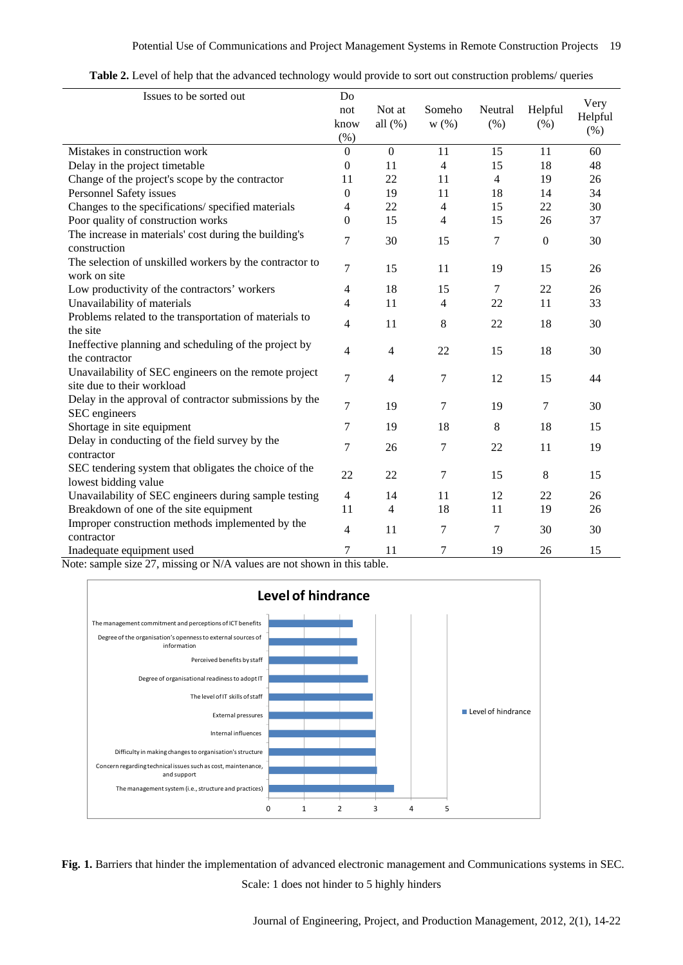| Table 2. Level of help that the advanced technology would provide to sort out construction problems/ queries |
|--------------------------------------------------------------------------------------------------------------|
|--------------------------------------------------------------------------------------------------------------|

| Issues to be sorted out                                                             | Do<br>not<br>know<br>$(\% )$ | Not at<br>all $(\%)$ | Someho<br>$W(\%)$ | Neutral<br>(%) | Helpful<br>(% )  | Very<br>Helpful<br>(% ) |
|-------------------------------------------------------------------------------------|------------------------------|----------------------|-------------------|----------------|------------------|-------------------------|
| Mistakes in construction work                                                       | $\overline{0}$               | $\overline{0}$       | 11                | 15             | 11               | 60                      |
| Delay in the project timetable                                                      | $\boldsymbol{0}$             | 11                   | $\overline{4}$    | 15             | 18               | 48                      |
| Change of the project's scope by the contractor                                     | 11                           | 22                   | 11                | $\overline{4}$ | 19               | 26                      |
| Personnel Safety issues                                                             | $\boldsymbol{0}$             | 19                   | 11                | 18             | 14               | 34                      |
| Changes to the specifications/ specified materials                                  | 4                            | 22                   | $\overline{4}$    | 15             | 22               | 30                      |
| Poor quality of construction works                                                  | $\overline{0}$               | 15                   | $\overline{4}$    | 15             | 26               | 37                      |
| The increase in materials' cost during the building's<br>construction               | 7                            | 30                   | 15                | 7              | $\boldsymbol{0}$ | 30                      |
| The selection of unskilled workers by the contractor to<br>work on site             | 7                            | 15                   | 11                | 19             | 15               | 26                      |
| Low productivity of the contractors' workers                                        | 4                            | 18                   | 15                | 7              | 22               | 26                      |
| Unavailability of materials                                                         | $\overline{4}$               | 11                   | $\overline{4}$    | 22             | 11               | 33                      |
| Problems related to the transportation of materials to<br>the site                  | 4                            | 11                   | 8                 | 22             | 18               | 30                      |
| Ineffective planning and scheduling of the project by<br>the contractor             | 4                            | $\overline{4}$       | 22                | 15             | 18               | 30                      |
| Unavailability of SEC engineers on the remote project<br>site due to their workload | 7                            | $\overline{4}$       | 7                 | 12             | 15               | 44                      |
| Delay in the approval of contractor submissions by the<br>SEC engineers             | 7                            | 19                   | $\overline{7}$    | 19             | 7                | 30                      |
| Shortage in site equipment                                                          | 7                            | 19                   | 18                | $8\,$          | 18               | 15                      |
| Delay in conducting of the field survey by the<br>contractor                        | 7                            | 26                   | 7                 | 22             | 11               | 19                      |
| SEC tendering system that obligates the choice of the<br>lowest bidding value       | 22                           | 22                   | $\overline{7}$    | 15             | 8                | 15                      |
| Unavailability of SEC engineers during sample testing                               | $\overline{4}$               | 14                   | 11                | 12             | 22               | 26                      |
| Breakdown of one of the site equipment                                              | 11                           | $\overline{4}$       | 18                | 11             | 19               | 26                      |
| Improper construction methods implemented by the<br>contractor                      | 4                            | 11                   | $\overline{7}$    | 7              | 30               | 30                      |
| Inadequate equipment used                                                           | 7                            | 11                   | 7                 | 19             | 26               | 15                      |

Note: sample size 27, missing or N/A values are not shown in this table.



**Fig. 1.** Barriers that hinder the implementation of advanced electronic management and Communications systems in SEC. Scale: 1 does not hinder to 5 highly hinders

Journal of Engineering, Project, and Production Management, 2012, 2(1), 14-22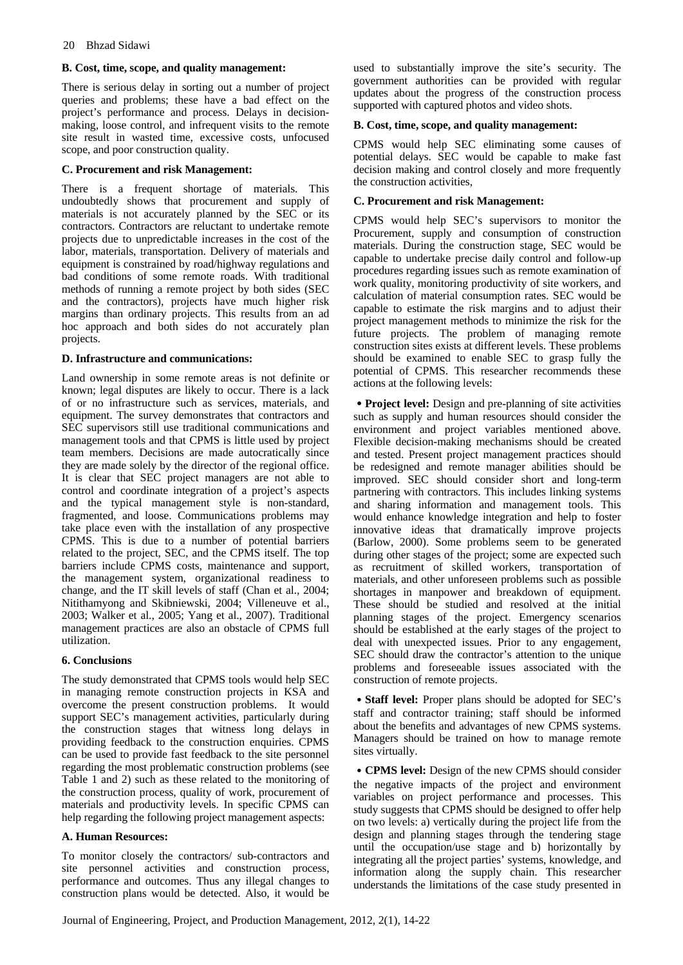#### **B. Cost, time, scope, and quality management:**

There is serious delay in sorting out a number of project queries and problems; these have a bad effect on the project's performance and process. Delays in decisionmaking, loose control, and infrequent visits to the remote site result in wasted time, excessive costs, unfocused scope, and poor construction quality.

#### **C. Procurement and risk Management:**

There is a frequent shortage of materials. This undoubtedly shows that procurement and supply of materials is not accurately planned by the SEC or its contractors. Contractors are reluctant to undertake remote projects due to unpredictable increases in the cost of the labor, materials, transportation. Delivery of materials and equipment is constrained by road/highway regulations and bad conditions of some remote roads. With traditional methods of running a remote project by both sides (SEC and the contractors), projects have much higher risk margins than ordinary projects. This results from an ad hoc approach and both sides do not accurately plan projects.

### **D. Infrastructure and communications:**

Land ownership in some remote areas is not definite or known; legal disputes are likely to occur. There is a lack of or no infrastructure such as services, materials, and equipment. The survey demonstrates that contractors and SEC supervisors still use traditional communications and management tools and that CPMS is little used by project team members. Decisions are made autocratically since they are made solely by the director of the regional office. It is clear that SEC project managers are not able to control and coordinate integration of a project's aspects and the typical management style is non-standard, fragmented, and loose. Communications problems may take place even with the installation of any prospective CPMS. This is due to a number of potential barriers related to the project, SEC, and the CPMS itself. The top barriers include CPMS costs, maintenance and support, the management system, organizational readiness to change, and the IT skill levels of staff (Chan et al., 2004; Nitithamyong and Skibniewski, 2004; Villeneuve et al., 2003; Walker et al., 2005; Yang et al., 2007). Traditional management practices are also an obstacle of CPMS full utilization.

# **6. Conclusions**

The study demonstrated that CPMS tools would help SEC in managing remote construction projects in KSA and overcome the present construction problems. It would support SEC's management activities, particularly during the construction stages that witness long delays in providing feedback to the construction enquiries. CPMS can be used to provide fast feedback to the site personnel regarding the most problematic construction problems (see Table 1 and 2) such as these related to the monitoring of the construction process, quality of work, procurement of materials and productivity levels. In specific CPMS can help regarding the following project management aspects:

# **A. Human Resources:**

To monitor closely the contractors/ sub-contractors and site personnel activities and construction process, performance and outcomes. Thus any illegal changes to construction plans would be detected. Also, it would be used to substantially improve the site's security. The government authorities can be provided with regular updates about the progress of the construction process supported with captured photos and video shots.

### **B. Cost, time, scope, and quality management:**

CPMS would help SEC eliminating some causes of potential delays. SEC would be capable to make fast decision making and control closely and more frequently the construction activities,

### **C. Procurement and risk Management:**

CPMS would help SEC's supervisors to monitor the Procurement, supply and consumption of construction materials. During the construction stage, SEC would be capable to undertake precise daily control and follow-up procedures regarding issues such as remote examination of work quality, monitoring productivity of site workers, and calculation of material consumption rates. SEC would be capable to estimate the risk margins and to adjust their project management methods to minimize the risk for the future projects. The problem of managing remote construction sites exists at different levels. These problems should be examined to enable SEC to grasp fully the potential of CPMS. This researcher recommends these actions at the following levels:

• **Project level:** Design and pre-planning of site activities such as supply and human resources should consider the environment and project variables mentioned above. Flexible decision-making mechanisms should be created and tested. Present project management practices should be redesigned and remote manager abilities should be improved. SEC should consider short and long-term partnering with contractors. This includes linking systems and sharing information and management tools. This would enhance knowledge integration and help to foster innovative ideas that dramatically improve projects (Barlow, 2000). Some problems seem to be generated during other stages of the project; some are expected such as recruitment of skilled workers, transportation of materials, and other unforeseen problems such as possible shortages in manpower and breakdown of equipment. These should be studied and resolved at the initial planning stages of the project. Emergency scenarios should be established at the early stages of the project to deal with unexpected issues. Prior to any engagement, SEC should draw the contractor's attention to the unique problems and foreseeable issues associated with the construction of remote projects.

․**Staff level:** Proper plans should be adopted for SEC's staff and contractor training; staff should be informed about the benefits and advantages of new CPMS systems. Managers should be trained on how to manage remote sites virtually.

․**CPMS level:** Design of the new CPMS should consider the negative impacts of the project and environment variables on project performance and processes. This study suggests that CPMS should be designed to offer help on two levels: a) vertically during the project life from the design and planning stages through the tendering stage until the occupation/use stage and b) horizontally by integrating all the project parties' systems, knowledge, and information along the supply chain. This researcher understands the limitations of the case study presented in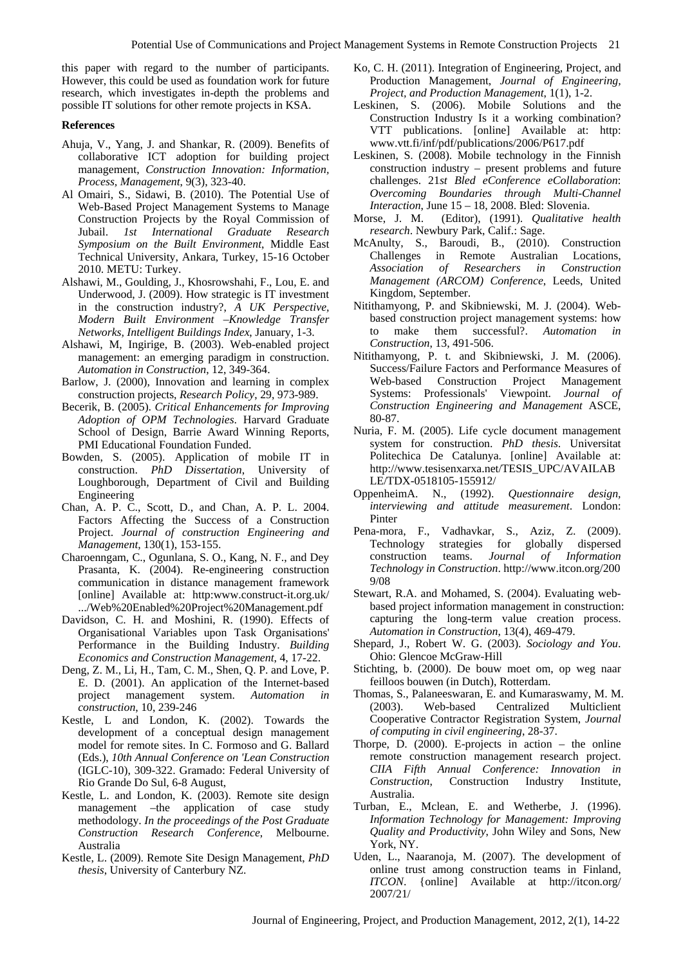this paper with regard to the number of participants. However, this could be used as foundation work for future research, which investigates in-depth the problems and possible IT solutions for other remote projects in KSA.

#### **References**

- Ahuja, V., Yang, J. and Shankar, R. (2009). Benefits of collaborative ICT adoption for building project management, *Construction Innovation: Information, Process, Management*, 9(3), 323-40.
- Al Omairi, S., Sidawi, B. (2010). The Potential Use of Web-Based Project Management Systems to Manage Construction Projects by the Royal Commission of Jubail. *1st International Graduate Research Symposium on the Built Environment*, Middle East Technical University, Ankara, Turkey, 15-16 October 2010. METU: Turkey.
- Alshawi, M., Goulding, J., Khosrowshahi, F., Lou, E. and Underwood, J. (2009). How strategic is IT investment in the construction industry?, *A UK Perspective, Modern Built Environment –Knowledge Transfer Networks, Intelligent Buildings Index*, January, 1-3.
- Alshawi, M, Ingirige, B. (2003). Web-enabled project management: an emerging paradigm in construction. *Automation in Construction*, 12, 349-364.
- Barlow, J. (2000), Innovation and learning in complex construction projects, *Research Policy*, 29, 973-989.
- Becerik, B. (2005). *Critical Enhancements for Improving Adoption of OPM Technologies*. Harvard Graduate School of Design, Barrie Award Winning Reports, PMI Educational Foundation Funded.
- Bowden, S. (2005). Application of mobile IT in construction. *PhD Dissertation*, University of Loughborough, Department of Civil and Building Engineering
- Chan, A. P. C., Scott, D., and Chan, A. P. L. 2004. Factors Affecting the Success of a Construction Project. *Journal of construction Engineering and Management*, 130(1), 153-155.
- Charoenngam, C., Ogunlana, S. O., Kang, N. F., and Dey Prasanta, K. (2004). Re-engineering construction communication in distance management framework [online] Available at: http:www.construct-it.org.uk/ .../Web%20Enabled%20Project%20Management.pdf
- Davidson, C. H. and Moshini, R. (1990). Effects of Organisational Variables upon Task Organisations' Performance in the Building Industry. *Building Economics and Construction Management*, 4, 17-22.
- Deng, Z. M., Li, H., Tam, C. M., Shen, Q. P. and Love, P. E. D. (2001). An application of the Internet-based project management system. *Automation in construction*, 10, 239-246
- Kestle, L and London, K. (2002). Towards the development of a conceptual design management model for remote sites. In C. Formoso and G. Ballard (Eds.), *10th Annual Conference on 'Lean Construction* (IGLC-10), 309-322. Gramado: Federal University of Rio Grande Do Sul, 6-8 August,
- Kestle, L. and London, K. (2003). Remote site design management –the application of case study methodology. *In the proceedings of the Post Graduate Construction Research Conference*, Melbourne. Australia
- Kestle, L. (2009). Remote Site Design Management, *PhD thesis*, University of Canterbury NZ.
- Ko, C. H. (2011). Integration of Engineering, Project, and Production Management, *Journal of Engineering, Project, and Production Management*, 1(1), 1-2.
- Leskinen, S. (2006). Mobile Solutions and the Construction Industry Is it a working combination? VTT publications. [online] Available at: http: www.vtt.fi/inf/pdf/publications/2006/P617.pdf
- Leskinen, S. (2008). Mobile technology in the Finnish construction industry – present problems and future challenges. 21*st Bled eConference eCollaboration*: *Overcoming Boundaries through Multi-Channel Interaction*, June 15 – 18, 2008. Bled: Slovenia.
- Morse, J. M. (Editor), (1991). *Qualitative health research*. Newbury Park, Calif.: Sage.
- McAnulty, S., Baroudi, B., (2010). Construction Challenges in Remote Australian Locations, *Association of Researchers in Construction Management (ARCOM) Conference*, Leeds, United Kingdom, September.
- Nitithamyong, P. and Skibniewski, M. J. (2004). Webbased construction project management systems: how to make them successful?. Automation *Construction*, 13, 491-506.
- Nitithamyong, P. t. and Skibniewski, J. M. (2006). Success/Failure Factors and Performance Measures of Web-based Construction Project Management Systems: Professionals' Viewpoint. *Journal of Construction Engineering and Management* ASCE, 80-87.
- Nuria, F. M. (2005). Life cycle document management system for construction. *PhD thesis*. Universitat Politechica De Catalunya. [online] Available at: http://www.tesisenxarxa.net/TESIS\_UPC/AVAILAB LE/TDX-0518105-155912/
- OppenheimA. N., (1992). *Questionnaire design, interviewing and attitude measurement*. London: Pinter
- Pena-mora, F., Vadhavkar, S., Aziz, Z. (2009). Technology strategies for globally dispersed construction teams. *Journal of Information Technology in Construction*. http://www.itcon.org/200 9/08
- Stewart, R.A. and Mohamed, S. (2004). Evaluating webbased project information management in construction: capturing the long-term value creation process. *Automation in Construction*, 13(4), 469-479.
- Shepard, J., Robert W. G. (2003). *Sociology and You*. Ohio: Glencoe McGraw-Hill
- Stichting, b. (2000). De bouw moet om, op weg naar feilloos bouwen (in Dutch), Rotterdam.
- Thomas, S., Palaneeswaran, E. and Kumaraswamy, M. M. (2003). Web-based Centralized Multiclient Cooperative Contractor Registration System, *Journal of computing in civil engineering*, 28-37.
- Thorpe, D. (2000). E-projects in action the online remote construction management research project. *CIIA Fifth Annual Conference: Innovation in Construction*, Construction Industry Institute, Australia.
- Turban, E., Mclean, E. and Wetherbe, J. (1996). *Information Technology for Management: Improving Quality and Productivity*, John Wiley and Sons, New York, NY.
- Uden, L., Naaranoja, M. (2007). The development of online trust among construction teams in Finland, *ITCON*. {online] Available at http://itcon.org/ 2007/21/